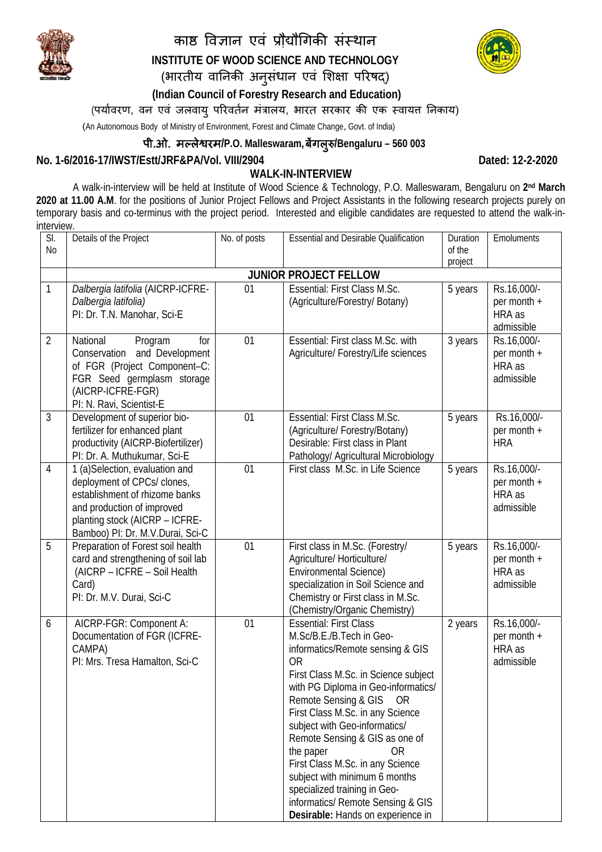

## काष्ठ विज्ञान एवं प्रौद्यौगिकी संस्थान **INSTITUTE OF WOOD SCIENCE AND TECHNOLOGY**  (भारतीय वानिकी अनुसंधान एवं शिक्षा परिषद्)



 **(Indian Council of Forestry Research and Education)** 

(पर्यावरण, वन एवं जलवायु परिवर्तन मंत्रालय, भारत सरकार की एक स्वायत निकाय)

(An Autonomous Body of Ministry of Environment, Forest and Climate Change, Govt. of India)

## पी.ओ. मãलेƳरम**/P.O. Malleswaram,**बगलǽ Ʌ ु**/Bengaluru – 560 003**

## **No. 1-6/2016-17/IWST/Estt/JRF&PA/Vol. VIII/2904 Dated: 12-2-2020**

**WALK-IN-INTERVIEW** 

A walk-in-interview will be held at Institute of Wood Science & Technology, P.O. Malleswaram, Bengaluru on **2nd March 2020 at 11.00 A.M**. for the positions of Junior Project Fellows and Project Assistants in the following research projects purely on temporary basis and co-terminus with the project period. Interested and eligible candidates are requested to attend the walk-ininterview.

| SI.            | Details of the Project                        | No. of posts | <b>Essential and Desirable Qualification</b>                  | Duration | Emoluments            |  |  |  |  |
|----------------|-----------------------------------------------|--------------|---------------------------------------------------------------|----------|-----------------------|--|--|--|--|
| N <sub>0</sub> |                                               |              |                                                               | of the   |                       |  |  |  |  |
|                |                                               |              |                                                               | project  |                       |  |  |  |  |
|                | <b>JUNIOR PROJECT FELLOW</b>                  |              |                                                               |          |                       |  |  |  |  |
| 1              | Dalbergia latifolia (AICRP-ICFRE-             | 01           | Essential: First Class M.Sc.                                  | 5 years  | Rs.16,000/-           |  |  |  |  |
|                | Dalbergia latifolia)                          |              | (Agriculture/Forestry/ Botany)                                |          | per month +           |  |  |  |  |
|                | PI: Dr. T.N. Manohar, Sci-E                   |              |                                                               |          | HRA as                |  |  |  |  |
|                |                                               |              |                                                               |          | admissible            |  |  |  |  |
| $\overline{2}$ | National<br>Program<br>for<br>and Development | 01           | Essential: First class M.Sc. with                             | 3 years  | Rs.16,000/-           |  |  |  |  |
|                | Conservation<br>of FGR (Project Component-C:  |              | Agriculture/ Forestry/Life sciences                           |          | per month +<br>HRA as |  |  |  |  |
|                | FGR Seed germplasm storage                    |              |                                                               |          | admissible            |  |  |  |  |
|                | (AICRP-ICFRE-FGR)                             |              |                                                               |          |                       |  |  |  |  |
|                | PI: N. Ravi, Scientist-E                      |              |                                                               |          |                       |  |  |  |  |
| 3              | Development of superior bio-                  | 01           | Essential: First Class M.Sc.                                  | 5 years  | Rs.16,000/-           |  |  |  |  |
|                | fertilizer for enhanced plant                 |              | (Agriculture/ Forestry/Botany)                                |          | per month +           |  |  |  |  |
|                | productivity (AICRP-Biofertilizer)            |              | Desirable: First class in Plant                               |          | <b>HRA</b>            |  |  |  |  |
|                | PI: Dr. A. Muthukumar, Sci-E                  |              | Pathology/ Agricultural Microbiology                          |          |                       |  |  |  |  |
| $\overline{4}$ | 1 (a)Selection, evaluation and                | 01           | First class M.Sc. in Life Science                             | 5 years  | Rs.16,000/-           |  |  |  |  |
|                | deployment of CPCs/ clones,                   |              |                                                               |          | per month +           |  |  |  |  |
|                | establishment of rhizome banks                |              |                                                               |          | HRA as                |  |  |  |  |
|                | and production of improved                    |              |                                                               |          | admissible            |  |  |  |  |
|                | planting stock (AICRP - ICFRE-                |              |                                                               |          |                       |  |  |  |  |
|                | Bamboo) Pl: Dr. M.V.Durai, Sci-C              |              |                                                               |          |                       |  |  |  |  |
| 5              | Preparation of Forest soil health             | 01           | First class in M.Sc. (Forestry/                               | 5 years  | Rs.16,000/-           |  |  |  |  |
|                | card and strengthening of soil lab            |              | Agriculture/ Horticulture/                                    |          | per month +<br>HRA as |  |  |  |  |
|                | (AICRP - ICFRE - Soil Health<br>Card)         |              | Environmental Science)<br>specialization in Soil Science and  |          | admissible            |  |  |  |  |
|                | PI: Dr. M.V. Durai, Sci-C                     |              | Chemistry or First class in M.Sc.                             |          |                       |  |  |  |  |
|                |                                               |              | (Chemistry/Organic Chemistry)                                 |          |                       |  |  |  |  |
| 6              | AICRP-FGR: Component A:                       | 01           | <b>Essential: First Class</b>                                 | 2 years  | Rs.16,000/-           |  |  |  |  |
|                | Documentation of FGR (ICFRE-                  |              | M.Sc/B.E./B.Tech in Geo-                                      |          | per month +           |  |  |  |  |
|                | CAMPA)                                        |              | informatics/Remote sensing & GIS                              |          | HRA as                |  |  |  |  |
|                | PI: Mrs. Tresa Hamalton, Sci-C                |              | <b>OR</b>                                                     |          | admissible            |  |  |  |  |
|                |                                               |              | First Class M.Sc. in Science subject                          |          |                       |  |  |  |  |
|                |                                               |              | with PG Diploma in Geo-informatics/                           |          |                       |  |  |  |  |
|                |                                               |              | Remote Sensing & GIS<br>0R                                    |          |                       |  |  |  |  |
|                |                                               |              | First Class M.Sc. in any Science                              |          |                       |  |  |  |  |
|                |                                               |              | subject with Geo-informatics/                                 |          |                       |  |  |  |  |
|                |                                               |              | Remote Sensing & GIS as one of                                |          |                       |  |  |  |  |
|                |                                               |              | the paper<br>0R                                               |          |                       |  |  |  |  |
|                |                                               |              | First Class M.Sc. in any Science                              |          |                       |  |  |  |  |
|                |                                               |              | subject with minimum 6 months<br>specialized training in Geo- |          |                       |  |  |  |  |
|                |                                               |              | informatics/ Remote Sensing & GIS                             |          |                       |  |  |  |  |
|                |                                               |              | Desirable: Hands on experience in                             |          |                       |  |  |  |  |